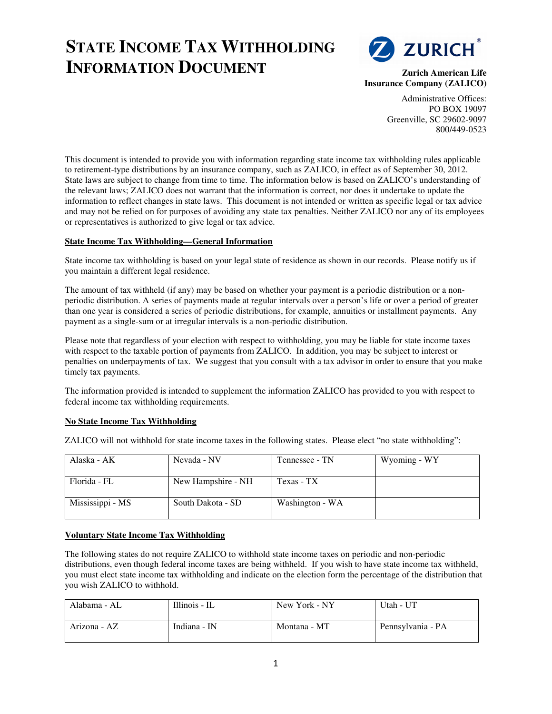# **STATE INCOME TAX WITHHOLDING INFORMATION DOCUMENT**



**Zurich American Life Insurance Company (ZALICO)** 

> Administrative Offices: PO BOX 19097 Greenville, SC 29602-9097 800/449-0523

This document is intended to provide you with information regarding state income tax withholding rules applicable to retirement-type distributions by an insurance company, such as ZALICO, in effect as of September 30, 2012. State laws are subject to change from time to time. The information below is based on ZALICO's understanding of the relevant laws; ZALICO does not warrant that the information is correct, nor does it undertake to update the information to reflect changes in state laws. This document is not intended or written as specific legal or tax advice and may not be relied on for purposes of avoiding any state tax penalties. Neither ZALICO nor any of its employees or representatives is authorized to give legal or tax advice.

## **State Income Tax Withholding—General Information**

State income tax withholding is based on your legal state of residence as shown in our records. Please notify us if you maintain a different legal residence.

The amount of tax withheld (if any) may be based on whether your payment is a periodic distribution or a nonperiodic distribution. A series of payments made at regular intervals over a person's life or over a period of greater than one year is considered a series of periodic distributions, for example, annuities or installment payments. Any payment as a single-sum or at irregular intervals is a non-periodic distribution.

Please note that regardless of your election with respect to withholding, you may be liable for state income taxes with respect to the taxable portion of payments from ZALICO. In addition, you may be subject to interest or penalties on underpayments of tax. We suggest that you consult with a tax advisor in order to ensure that you make timely tax payments.

The information provided is intended to supplement the information ZALICO has provided to you with respect to federal income tax withholding requirements.

#### **No State Income Tax Withholding**

ZALICO will not withhold for state income taxes in the following states. Please elect "no state withholding":

| Alaska - AK      | Nevada - NV        | Tennessee - TN  | Wyoming - WY |
|------------------|--------------------|-----------------|--------------|
| Florida - FL     | New Hampshire - NH | Texas - TX      |              |
| Mississippi - MS | South Dakota - SD  | Washington - WA |              |

#### **Voluntary State Income Tax Withholding**

The following states do not require ZALICO to withhold state income taxes on periodic and non-periodic distributions, even though federal income taxes are being withheld. If you wish to have state income tax withheld, you must elect state income tax withholding and indicate on the election form the percentage of the distribution that you wish ZALICO to withhold.

| Alabama - AL | Illinois - IL | New York - NY | Utah - UT         |
|--------------|---------------|---------------|-------------------|
| Arizona - AZ | Indiana - IN  | Montana - MT  | Pennsylvania - PA |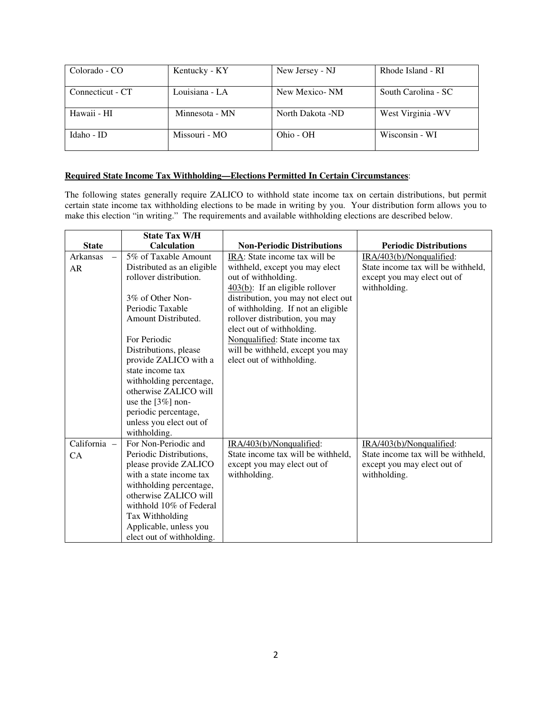| Colorado - CO    | Kentucky - KY  | New Jersey - NJ  | Rhode Island - RI   |
|------------------|----------------|------------------|---------------------|
| Connecticut - CT | Louisiana - LA | New Mexico-NM    | South Carolina - SC |
| Hawaii - HI      | Minnesota - MN | North Dakota -ND | West Virginia - WV  |
| Idaho - ID       | Missouri - MO  | Ohio - OH        | Wisconsin - WI      |

## **Required State Income Tax Withholding—Elections Permitted In Certain Circumstances**:

The following states generally require ZALICO to withhold state income tax on certain distributions, but permit certain state income tax withholding elections to be made in writing by you. Your distribution form allows you to make this election "in writing." The requirements and available withholding elections are described below.

|              | <b>State Tax W/H</b>       |                                     |                                    |
|--------------|----------------------------|-------------------------------------|------------------------------------|
| <b>State</b> | <b>Calculation</b>         | <b>Non-Periodic Distributions</b>   | <b>Periodic Distributions</b>      |
| Arkansas     | 5% of Taxable Amount       | IRA: State income tax will be       | IRA/403(b)/Nonqualified:           |
| AR           | Distributed as an eligible | withheld, except you may elect      | State income tax will be withheld, |
|              | rollover distribution.     | out of withholding.                 | except you may elect out of        |
|              |                            | $403(b)$ : If an eligible rollover  | withholding.                       |
|              | 3% of Other Non-           | distribution, you may not elect out |                                    |
|              | Periodic Taxable           | of withholding. If not an eligible  |                                    |
|              | Amount Distributed.        | rollover distribution, you may      |                                    |
|              |                            | elect out of withholding.           |                                    |
|              | For Periodic               | Nonqualified: State income tax      |                                    |
|              | Distributions, please      | will be withheld, except you may    |                                    |
|              | provide ZALICO with a      | elect out of withholding.           |                                    |
|              | state income tax           |                                     |                                    |
|              | withholding percentage,    |                                     |                                    |
|              | otherwise ZALICO will      |                                     |                                    |
|              | use the $[3\%]$ non-       |                                     |                                    |
|              | periodic percentage,       |                                     |                                    |
|              | unless you elect out of    |                                     |                                    |
|              | withholding.               |                                     |                                    |
| California - | For Non-Periodic and       | IRA/403(b)/Nonqualified:            | IRA/403(b)/Nonqualified:           |
| CA           | Periodic Distributions,    | State income tax will be withheld,  | State income tax will be withheld, |
|              | please provide ZALICO      | except you may elect out of         | except you may elect out of        |
|              | with a state income tax    | withholding.                        | withholding.                       |
|              | withholding percentage,    |                                     |                                    |
|              | otherwise ZALICO will      |                                     |                                    |
|              | withhold 10% of Federal    |                                     |                                    |
|              | Tax Withholding            |                                     |                                    |
|              | Applicable, unless you     |                                     |                                    |
|              | elect out of withholding.  |                                     |                                    |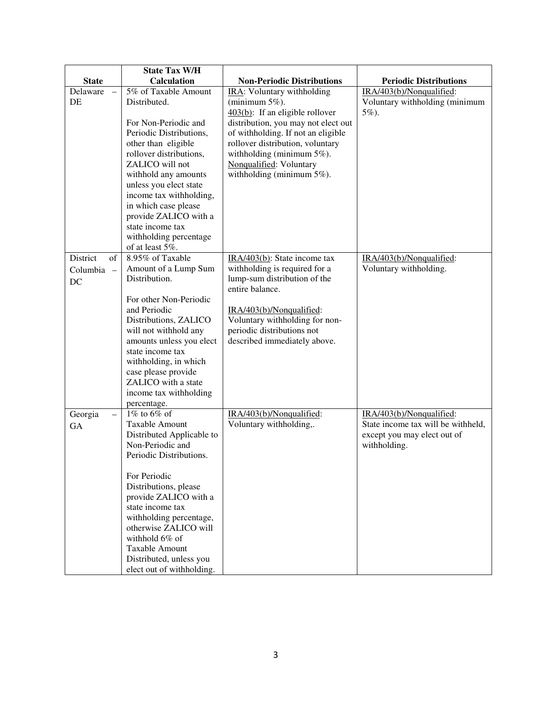|                     | <b>State Tax W/H</b>                              |                                                            |                                    |
|---------------------|---------------------------------------------------|------------------------------------------------------------|------------------------------------|
| <b>State</b>        | <b>Calculation</b>                                | <b>Non-Periodic Distributions</b>                          | <b>Periodic Distributions</b>      |
| Delaware            | 5% of Taxable Amount                              | IRA: Voluntary withholding                                 | IRA/403(b)/Nonqualified:           |
| <b>DE</b>           | Distributed.                                      | (minimum $5\%$ ).                                          | Voluntary withholding (minimum     |
|                     |                                                   | $403(b)$ : If an eligible rollover                         | 5%).                               |
|                     | For Non-Periodic and                              | distribution, you may not elect out                        |                                    |
|                     | Periodic Distributions,                           | of withholding. If not an eligible                         |                                    |
|                     | other than eligible                               | rollover distribution, voluntary                           |                                    |
|                     | rollover distributions,                           | withholding (minimum $5\%$ ).                              |                                    |
|                     | ZALICO will not                                   | Nonqualified: Voluntary                                    |                                    |
|                     | withhold any amounts                              | withholding (minimum $5\%$ ).                              |                                    |
|                     | unless you elect state<br>income tax withholding, |                                                            |                                    |
|                     | in which case please                              |                                                            |                                    |
|                     | provide ZALICO with a                             |                                                            |                                    |
|                     | state income tax                                  |                                                            |                                    |
|                     | withholding percentage                            |                                                            |                                    |
|                     | of at least 5%.                                   |                                                            |                                    |
| of<br>District      | 8.95% of Taxable                                  | IRA/403(b): State income tax                               | IRA/403(b)/Nonqualified:           |
| Columbia -          | Amount of a Lump Sum                              | withholding is required for a                              | Voluntary withholding.             |
| DC                  | Distribution.                                     | lump-sum distribution of the                               |                                    |
|                     |                                                   | entire balance.                                            |                                    |
|                     | For other Non-Periodic                            |                                                            |                                    |
|                     | and Periodic                                      | IRA/403(b)/Nonqualified:                                   |                                    |
|                     | Distributions, ZALICO                             | Voluntary withholding for non-                             |                                    |
|                     | will not withhold any                             | periodic distributions not<br>described immediately above. |                                    |
|                     | amounts unless you elect<br>state income tax      |                                                            |                                    |
|                     | withholding, in which                             |                                                            |                                    |
|                     | case please provide                               |                                                            |                                    |
|                     | ZALICO with a state                               |                                                            |                                    |
|                     | income tax withholding                            |                                                            |                                    |
|                     | percentage.                                       |                                                            |                                    |
| Georgia<br>$\equiv$ | $1\%$ to 6\% of                                   | IRA/403(b)/Nonqualified:                                   | IRA/403(b)/Nonqualified:           |
| GA                  | Taxable Amount                                    | Voluntary withholding,.                                    | State income tax will be withheld, |
|                     | Distributed Applicable to                         |                                                            | except you may elect out of        |
|                     | Non-Periodic and                                  |                                                            | withholding.                       |
|                     | Periodic Distributions.                           |                                                            |                                    |
|                     | For Periodic                                      |                                                            |                                    |
|                     | Distributions, please                             |                                                            |                                    |
|                     | provide ZALICO with a                             |                                                            |                                    |
|                     | state income tax                                  |                                                            |                                    |
|                     | withholding percentage,                           |                                                            |                                    |
|                     | otherwise ZALICO will                             |                                                            |                                    |
|                     | withhold 6% of                                    |                                                            |                                    |
|                     | <b>Taxable Amount</b>                             |                                                            |                                    |
|                     | Distributed, unless you                           |                                                            |                                    |
|                     | elect out of withholding.                         |                                                            |                                    |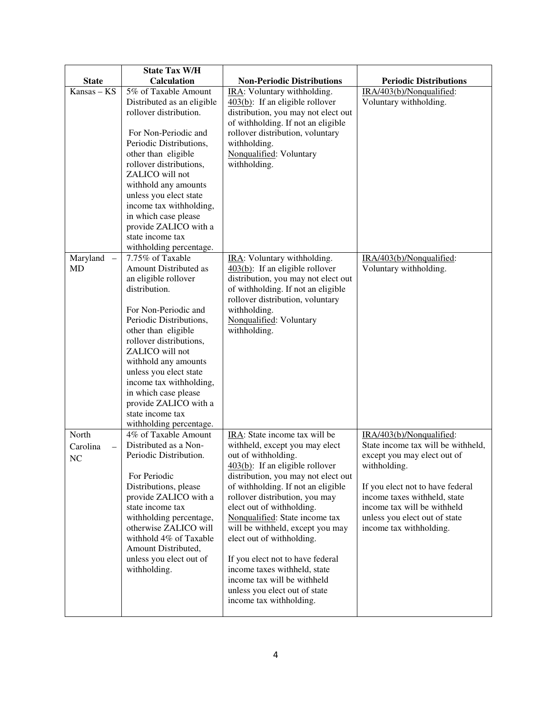|                                      | <b>State Tax W/H</b>                            |                                                                           |                                    |
|--------------------------------------|-------------------------------------------------|---------------------------------------------------------------------------|------------------------------------|
| <b>State</b>                         | <b>Calculation</b>                              | <b>Non-Periodic Distributions</b>                                         | <b>Periodic Distributions</b>      |
| Kansas – KS                          | 5% of Taxable Amount                            | IRA: Voluntary withholding.                                               | IRA/403(b)/Nonqualified:           |
|                                      | Distributed as an eligible                      | $\frac{403(b)}{b}$ : If an eligible rollover                              | Voluntary withholding.             |
|                                      | rollover distribution.                          | distribution, you may not elect out                                       |                                    |
|                                      |                                                 | of withholding. If not an eligible                                        |                                    |
|                                      | For Non-Periodic and<br>Periodic Distributions, | rollover distribution, voluntary<br>withholding.                          |                                    |
|                                      | other than eligible                             | Nonqualified: Voluntary                                                   |                                    |
|                                      | rollover distributions,                         | withholding.                                                              |                                    |
|                                      | ZALICO will not                                 |                                                                           |                                    |
|                                      | withhold any amounts                            |                                                                           |                                    |
|                                      | unless you elect state                          |                                                                           |                                    |
|                                      | income tax withholding,                         |                                                                           |                                    |
|                                      | in which case please                            |                                                                           |                                    |
|                                      | provide ZALICO with a                           |                                                                           |                                    |
|                                      | state income tax                                |                                                                           |                                    |
|                                      | withholding percentage.                         |                                                                           |                                    |
| Maryland<br>$\overline{\phantom{a}}$ | 7.75% of Taxable                                | IRA: Voluntary withholding.                                               | IRA/403(b)/Nonqualified:           |
| MD                                   | Amount Distributed as                           | $\frac{403(b)}{b}$ : If an eligible rollover                              | Voluntary withholding.             |
|                                      | an eligible rollover<br>distribution.           | distribution, you may not elect out<br>of withholding. If not an eligible |                                    |
|                                      |                                                 | rollover distribution, voluntary                                          |                                    |
|                                      | For Non-Periodic and                            | withholding.                                                              |                                    |
|                                      | Periodic Distributions,                         | Nonqualified: Voluntary                                                   |                                    |
|                                      | other than eligible                             | withholding.                                                              |                                    |
|                                      | rollover distributions,                         |                                                                           |                                    |
|                                      | ZALICO will not                                 |                                                                           |                                    |
|                                      | withhold any amounts                            |                                                                           |                                    |
|                                      | unless you elect state                          |                                                                           |                                    |
|                                      | income tax withholding,                         |                                                                           |                                    |
|                                      | in which case please                            |                                                                           |                                    |
|                                      | provide ZALICO with a                           |                                                                           |                                    |
|                                      | state income tax<br>withholding percentage.     |                                                                           |                                    |
| North                                | 4% of Taxable Amount                            | IRA: State income tax will be                                             | IRA/403(b)/Nonqualified:           |
| Carolina<br>$\equiv$                 | Distributed as a Non-                           | withheld, except you may elect                                            | State income tax will be withheld, |
| NC                                   | Periodic Distribution.                          | out of withholding.                                                       | except you may elect out of        |
|                                      |                                                 | $403(b)$ : If an eligible rollover                                        | withholding.                       |
|                                      | For Periodic                                    | distribution, you may not elect out                                       |                                    |
|                                      | Distributions, please                           | of withholding. If not an eligible                                        | If you elect not to have federal   |
|                                      | provide ZALICO with a                           | rollover distribution, you may                                            | income taxes withheld, state       |
|                                      | state income tax                                | elect out of withholding.                                                 | income tax will be withheld        |
|                                      | withholding percentage,                         | Nonqualified: State income tax                                            | unless you elect out of state      |
|                                      | otherwise ZALICO will                           | will be withheld, except you may                                          | income tax withholding.            |
|                                      | withhold 4% of Taxable                          | elect out of withholding.                                                 |                                    |
|                                      | Amount Distributed,<br>unless you elect out of  | If you elect not to have federal                                          |                                    |
|                                      | withholding.                                    | income taxes withheld, state                                              |                                    |
|                                      |                                                 | income tax will be withheld                                               |                                    |
|                                      |                                                 | unless you elect out of state                                             |                                    |
|                                      |                                                 | income tax withholding.                                                   |                                    |
|                                      |                                                 |                                                                           |                                    |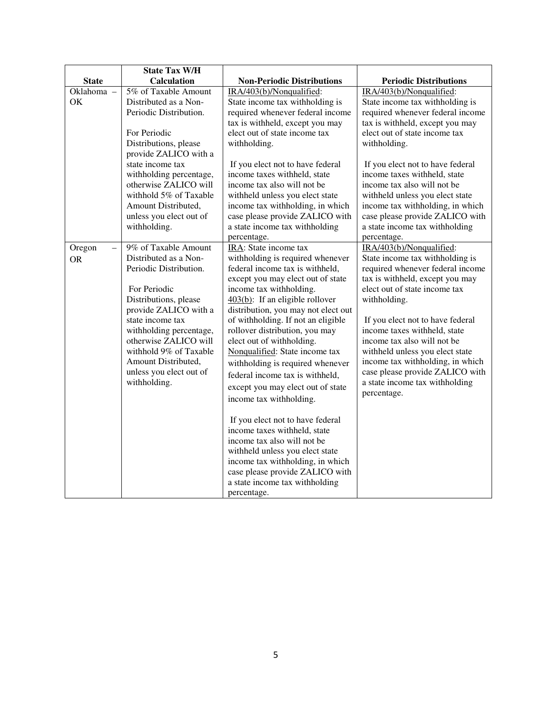|                                                 | <b>State Tax W/H</b>                                                                                                                                                                                                                                                                                          |                                                                                                                                                                                                                                                                                                                                                                                                                                                                                                                                                                                                                                                                                                                                                                                    |                                                                                                                                                                                                                                                                                                                                                                                                                                                   |
|-------------------------------------------------|---------------------------------------------------------------------------------------------------------------------------------------------------------------------------------------------------------------------------------------------------------------------------------------------------------------|------------------------------------------------------------------------------------------------------------------------------------------------------------------------------------------------------------------------------------------------------------------------------------------------------------------------------------------------------------------------------------------------------------------------------------------------------------------------------------------------------------------------------------------------------------------------------------------------------------------------------------------------------------------------------------------------------------------------------------------------------------------------------------|---------------------------------------------------------------------------------------------------------------------------------------------------------------------------------------------------------------------------------------------------------------------------------------------------------------------------------------------------------------------------------------------------------------------------------------------------|
| <b>State</b>                                    | <b>Calculation</b>                                                                                                                                                                                                                                                                                            | <b>Non-Periodic Distributions</b>                                                                                                                                                                                                                                                                                                                                                                                                                                                                                                                                                                                                                                                                                                                                                  | <b>Periodic Distributions</b>                                                                                                                                                                                                                                                                                                                                                                                                                     |
| Oklahoma -<br>OK                                | 5% of Taxable Amount<br>Distributed as a Non-<br>Periodic Distribution.<br>For Periodic                                                                                                                                                                                                                       | IRA/403(b)/Nonqualified:<br>State income tax withholding is<br>required whenever federal income<br>tax is withheld, except you may<br>elect out of state income tax                                                                                                                                                                                                                                                                                                                                                                                                                                                                                                                                                                                                                | IRA/403(b)/Nonqualified:<br>State income tax withholding is<br>required whenever federal income<br>tax is withheld, except you may<br>elect out of state income tax                                                                                                                                                                                                                                                                               |
|                                                 | Distributions, please<br>provide ZALICO with a<br>state income tax<br>withholding percentage,<br>otherwise ZALICO will<br>withhold 5% of Taxable<br>Amount Distributed,<br>unless you elect out of<br>withholding.                                                                                            | withholding.<br>If you elect not to have federal<br>income taxes withheld, state<br>income tax also will not be<br>withheld unless you elect state<br>income tax withholding, in which<br>case please provide ZALICO with<br>a state income tax withholding<br>percentage.                                                                                                                                                                                                                                                                                                                                                                                                                                                                                                         | withholding.<br>If you elect not to have federal<br>income taxes withheld, state<br>income tax also will not be<br>withheld unless you elect state<br>income tax withholding, in which<br>case please provide ZALICO with<br>a state income tax withholding<br>percentage.                                                                                                                                                                        |
| Oregon<br>$\overline{\phantom{0}}$<br><b>OR</b> | 9% of Taxable Amount<br>Distributed as a Non-<br>Periodic Distribution.<br>For Periodic<br>Distributions, please<br>provide ZALICO with a<br>state income tax<br>withholding percentage,<br>otherwise ZALICO will<br>withhold 9% of Taxable<br>Amount Distributed,<br>unless you elect out of<br>withholding. | IRA: State income tax<br>withholding is required whenever<br>federal income tax is withheld,<br>except you may elect out of state<br>income tax withholding.<br>403(b): If an eligible rollover<br>distribution, you may not elect out<br>of withholding. If not an eligible<br>rollover distribution, you may<br>elect out of withholding.<br>Nonqualified: State income tax<br>withholding is required whenever<br>federal income tax is withheld,<br>except you may elect out of state<br>income tax withholding.<br>If you elect not to have federal<br>income taxes withheld, state<br>income tax also will not be<br>withheld unless you elect state<br>income tax withholding, in which<br>case please provide ZALICO with<br>a state income tax withholding<br>percentage. | IRA/403(b)/Nonqualified:<br>State income tax withholding is<br>required whenever federal income<br>tax is withheld, except you may<br>elect out of state income tax<br>withholding.<br>If you elect not to have federal<br>income taxes withheld, state<br>income tax also will not be<br>withheld unless you elect state<br>income tax withholding, in which<br>case please provide ZALICO with<br>a state income tax withholding<br>percentage. |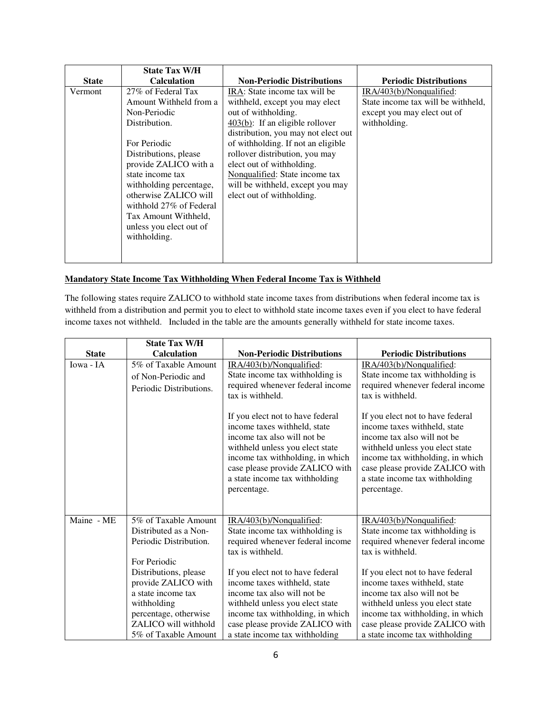|              | <b>State Tax W/H</b>     |                                              |                                    |
|--------------|--------------------------|----------------------------------------------|------------------------------------|
| <b>State</b> | <b>Calculation</b>       | <b>Non-Periodic Distributions</b>            | <b>Periodic Distributions</b>      |
| Vermont      | 27% of Federal Tax       | IRA: State income tax will be                | $IRA/403(b)/N$ onqualified:        |
|              | Amount Withheld from a   | withheld, except you may elect               | State income tax will be withheld. |
|              | Non-Periodic             | out of withholding.                          | except you may elect out of        |
|              | Distribution.            | $\frac{403(b)}{b}$ : If an eligible rollover | withholding.                       |
|              |                          | distribution, you may not elect out          |                                    |
|              | For Periodic             | of withholding. If not an eligible           |                                    |
|              | Distributions, please    | rollover distribution, you may               |                                    |
|              | provide ZALICO with a    | elect out of withholding.                    |                                    |
|              | state income tax         | Nonqualified: State income tax               |                                    |
|              | with holding percentage, | will be withheld, except you may             |                                    |
|              | otherwise ZALICO will    | elect out of withholding.                    |                                    |
|              | withhold 27% of Federal  |                                              |                                    |
|              | Tax Amount Withheld,     |                                              |                                    |
|              | unless you elect out of  |                                              |                                    |
|              | withholding.             |                                              |                                    |
|              |                          |                                              |                                    |
|              |                          |                                              |                                    |

## **Mandatory State Income Tax Withholding When Federal Income Tax is Withheld**

The following states require ZALICO to withhold state income taxes from distributions when federal income tax is withheld from a distribution and permit you to elect to withhold state income taxes even if you elect to have federal income taxes not withheld. Included in the table are the amounts generally withheld for state income taxes.